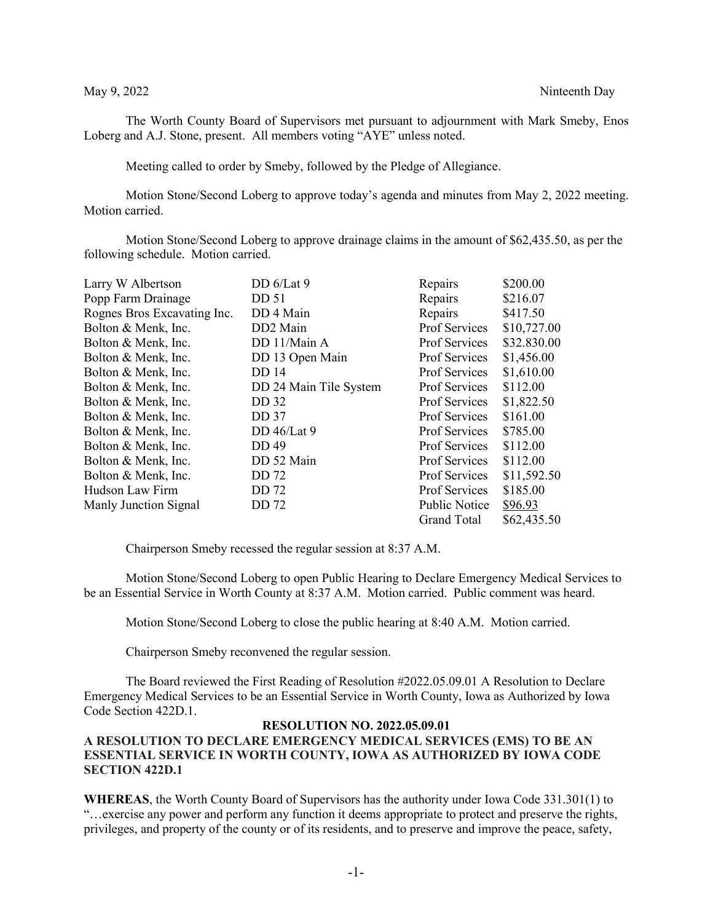The Worth County Board of Supervisors met pursuant to adjournment with Mark Smeby, Enos Loberg and A.J. Stone, present. All members voting "AYE" unless noted.

Meeting called to order by Smeby, followed by the Pledge of Allegiance.

Motion Stone/Second Loberg to approve today's agenda and minutes from May 2, 2022 meeting. Motion carried.

Motion Stone/Second Loberg to approve drainage claims in the amount of \$62,435.50, as per the following schedule. Motion carried.

| Larry W Albertson           | DD $6/Lat$ 9           | Repairs              | \$200.00    |
|-----------------------------|------------------------|----------------------|-------------|
| Popp Farm Drainage          | DD 51                  | Repairs              | \$216.07    |
| Rognes Bros Excavating Inc. | DD 4 Main              | Repairs              | \$417.50    |
| Bolton & Menk, Inc.         | DD2 Main               | <b>Prof Services</b> | \$10,727.00 |
| Bolton & Menk, Inc.         | DD 11/Main A           | Prof Services        | \$32.830.00 |
| Bolton & Menk, Inc.         | DD 13 Open Main        | <b>Prof Services</b> | \$1,456.00  |
| Bolton & Menk, Inc.         | DD 14                  | Prof Services        | \$1,610.00  |
| Bolton & Menk, Inc.         | DD 24 Main Tile System | Prof Services        | \$112.00    |
| Bolton & Menk, Inc.         | DD 32                  | <b>Prof Services</b> | \$1,822.50  |
| Bolton & Menk, Inc.         | DD 37                  | <b>Prof Services</b> | \$161.00    |
| Bolton & Menk, Inc.         | DD $46/Lat$ 9          | <b>Prof Services</b> | \$785.00    |
| Bolton & Menk, Inc.         | DD 49                  | <b>Prof Services</b> | \$112.00    |
| Bolton & Menk, Inc.         | DD 52 Main             | <b>Prof Services</b> | \$112.00    |
| Bolton & Menk, Inc.         | DD 72                  | <b>Prof Services</b> | \$11,592.50 |
| Hudson Law Firm             | DD 72                  | Prof Services        | \$185.00    |
| Manly Junction Signal       | DD 72                  | Public Notice        | \$96.93     |
|                             |                        | <b>Grand Total</b>   | \$62,435.50 |

Chairperson Smeby recessed the regular session at 8:37 A.M.

Motion Stone/Second Loberg to open Public Hearing to Declare Emergency Medical Services to be an Essential Service in Worth County at 8:37 A.M. Motion carried. Public comment was heard.

Motion Stone/Second Loberg to close the public hearing at 8:40 A.M. Motion carried.

Chairperson Smeby reconvened the regular session.

The Board reviewed the First Reading of Resolution #2022.05.09.01 A Resolution to Declare Emergency Medical Services to be an Essential Service in Worth County, Iowa as Authorized by Iowa Code Section 422D.1.

## **RESOLUTION NO. 2022.05.09.01 A RESOLUTION TO DECLARE EMERGENCY MEDICAL SERVICES (EMS) TO BE AN ESSENTIAL SERVICE IN WORTH COUNTY, IOWA AS AUTHORIZED BY IOWA CODE SECTION 422D.1**

**WHEREAS**, the Worth County Board of Supervisors has the authority under Iowa Code 331.301(1) to "…exercise any power and perform any function it deems appropriate to protect and preserve the rights, privileges, and property of the county or of its residents, and to preserve and improve the peace, safety,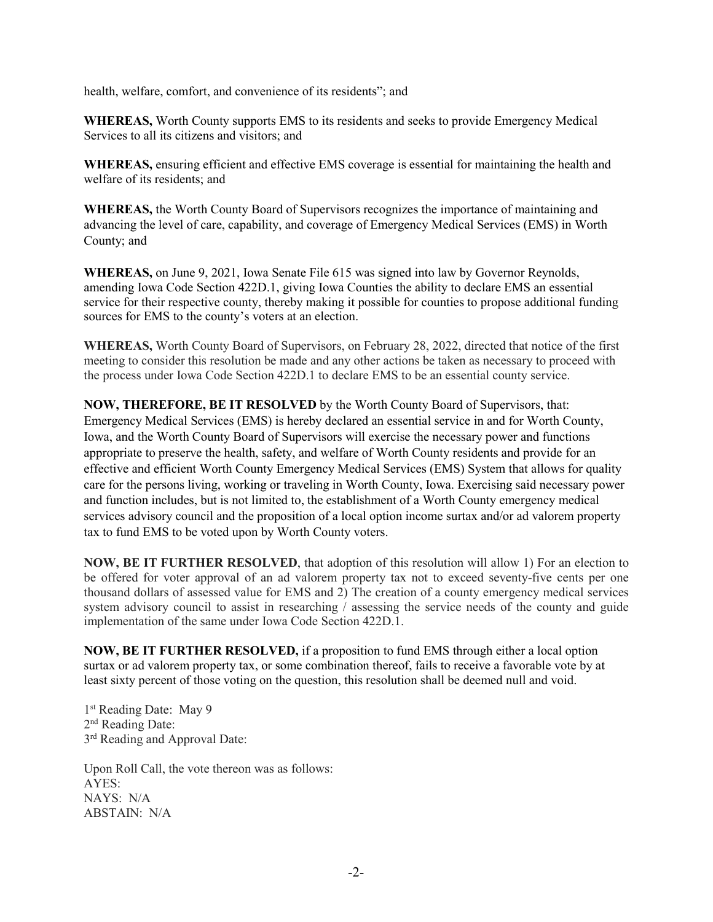health, welfare, comfort, and convenience of its residents"; and

**WHEREAS,** Worth County supports EMS to its residents and seeks to provide Emergency Medical Services to all its citizens and visitors; and

**WHEREAS,** ensuring efficient and effective EMS coverage is essential for maintaining the health and welfare of its residents; and

**WHEREAS,** the Worth County Board of Supervisors recognizes the importance of maintaining and advancing the level of care, capability, and coverage of Emergency Medical Services (EMS) in Worth County; and

**WHEREAS,** on June 9, 2021, Iowa Senate File 615 was signed into law by Governor Reynolds, amending Iowa Code Section 422D.1, giving Iowa Counties the ability to declare EMS an essential service for their respective county, thereby making it possible for counties to propose additional funding sources for EMS to the county's voters at an election.

**WHEREAS,** Worth County Board of Supervisors, on February 28, 2022, directed that notice of the first meeting to consider this resolution be made and any other actions be taken as necessary to proceed with the process under Iowa Code Section 422D.1 to declare EMS to be an essential county service.

**NOW, THEREFORE, BE IT RESOLVED** by the Worth County Board of Supervisors, that: Emergency Medical Services (EMS) is hereby declared an essential service in and for Worth County, Iowa, and the Worth County Board of Supervisors will exercise the necessary power and functions appropriate to preserve the health, safety, and welfare of Worth County residents and provide for an effective and efficient Worth County Emergency Medical Services (EMS) System that allows for quality care for the persons living, working or traveling in Worth County, Iowa. Exercising said necessary power and function includes, but is not limited to, the establishment of a Worth County emergency medical services advisory council and the proposition of a local option income surtax and/or ad valorem property tax to fund EMS to be voted upon by Worth County voters.

**NOW, BE IT FURTHER RESOLVED**, that adoption of this resolution will allow 1) For an election to be offered for voter approval of an ad valorem property tax not to exceed seventy-five cents per one thousand dollars of assessed value for EMS and 2) The creation of a county emergency medical services system advisory council to assist in researching / assessing the service needs of the county and guide implementation of the same under Iowa Code Section 422D.1.

**NOW, BE IT FURTHER RESOLVED,** if a proposition to fund EMS through either a local option surtax or ad valorem property tax, or some combination thereof, fails to receive a favorable vote by at least sixty percent of those voting on the question, this resolution shall be deemed null and void.

1<sup>st</sup> Reading Date: May 9 2<sup>nd</sup> Reading Date: 3<sup>rd</sup> Reading and Approval Date:

Upon Roll Call, the vote thereon was as follows: AYES: NAYS: N/A ABSTAIN: N/A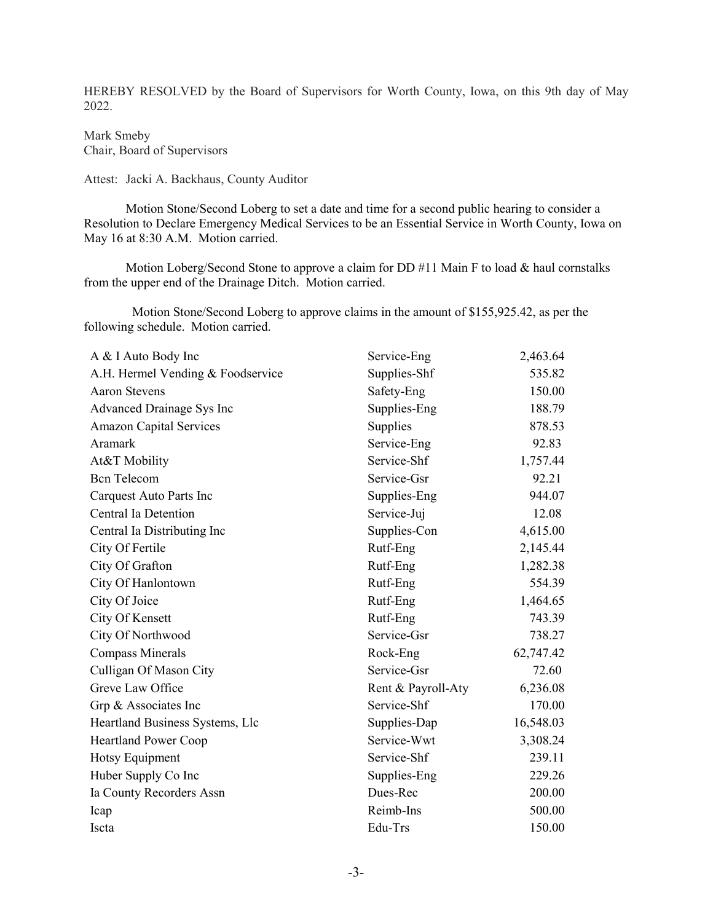HEREBY RESOLVED by the Board of Supervisors for Worth County, Iowa, on this 9th day of May 2022.

Mark Smeby Chair, Board of Supervisors

Attest: Jacki A. Backhaus, County Auditor

Motion Stone/Second Loberg to set a date and time for a second public hearing to consider a Resolution to Declare Emergency Medical Services to be an Essential Service in Worth County, Iowa on May 16 at 8:30 A.M. Motion carried.

Motion Loberg/Second Stone to approve a claim for DD #11 Main F to load & haul cornstalks from the upper end of the Drainage Ditch. Motion carried.

 Motion Stone/Second Loberg to approve claims in the amount of \$155,925.42, as per the following schedule. Motion carried.

| A & I Auto Body Inc               | Service-Eng        | 2,463.64  |
|-----------------------------------|--------------------|-----------|
| A.H. Hermel Vending & Foodservice | Supplies-Shf       | 535.82    |
| <b>Aaron Stevens</b>              | Safety-Eng         | 150.00    |
| Advanced Drainage Sys Inc         | Supplies-Eng       | 188.79    |
| <b>Amazon Capital Services</b>    | Supplies           | 878.53    |
| Aramark                           | Service-Eng        | 92.83     |
| At&T Mobility                     | Service-Shf        | 1,757.44  |
| <b>Bcn</b> Telecom                | Service-Gsr        | 92.21     |
| Carquest Auto Parts Inc           | Supplies-Eng       | 944.07    |
| Central Ia Detention              | Service-Juj        | 12.08     |
| Central Ia Distributing Inc       | Supplies-Con       | 4,615.00  |
| City Of Fertile                   | Rutf-Eng           | 2,145.44  |
| City Of Grafton                   | Rutf-Eng           | 1,282.38  |
| City Of Hanlontown                | Rutf-Eng           | 554.39    |
| City Of Joice                     | Rutf-Eng           | 1,464.65  |
| City Of Kensett                   | Rutf-Eng           | 743.39    |
| City Of Northwood                 | Service-Gsr        | 738.27    |
| <b>Compass Minerals</b>           | Rock-Eng           | 62,747.42 |
| Culligan Of Mason City            | Service-Gsr        | 72.60     |
| Greve Law Office                  | Rent & Payroll-Aty | 6,236.08  |
| Grp & Associates Inc              | Service-Shf        | 170.00    |
| Heartland Business Systems, Llc   | Supplies-Dap       | 16,548.03 |
| <b>Heartland Power Coop</b>       | Service-Wwt        | 3,308.24  |
| Hotsy Equipment                   | Service-Shf        | 239.11    |
| Huber Supply Co Inc               | Supplies-Eng       | 229.26    |
| Ia County Recorders Assn          | Dues-Rec           | 200.00    |
| Icap                              | Reimb-Ins          | 500.00    |
| <b>Iscta</b>                      | Edu-Trs            | 150.00    |